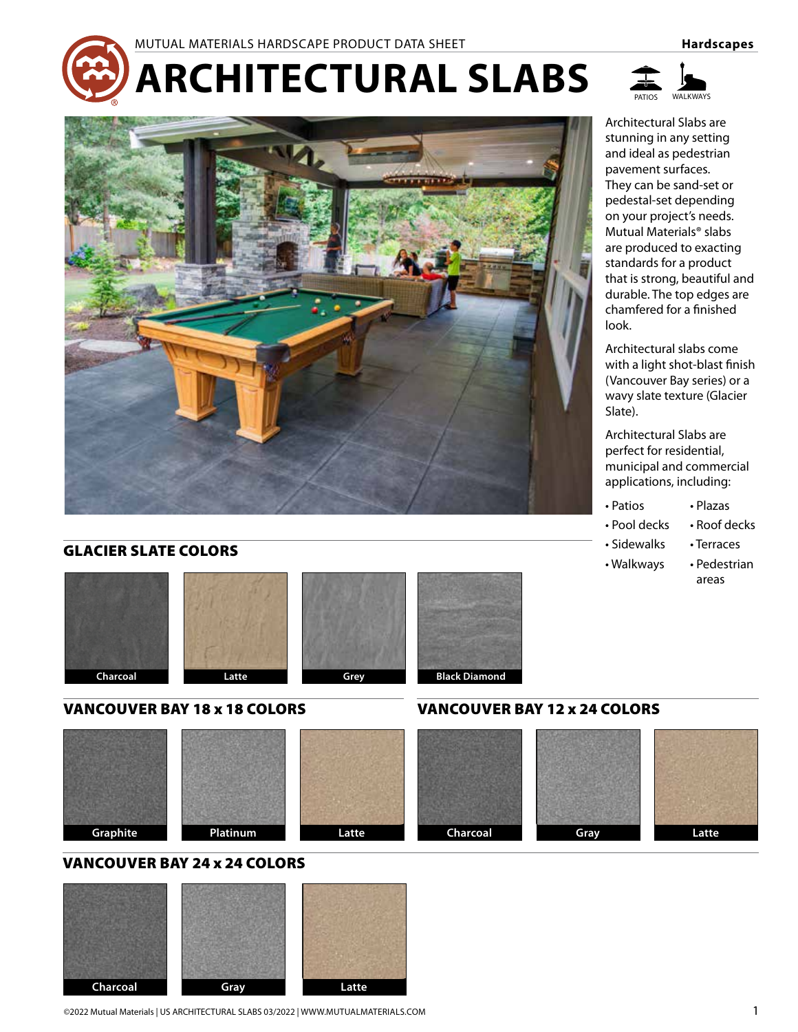# **ARCHITECTURAL SLABS**



# GLACIER SLATE COLORS









# VANCOUVER BAY 18 x 18 COLORS VANCOUVER BAY 12 x 24 COLORS









# VANCOUVER BAY 24 x 24 COLORS



#### ©2022 Mutual Materials | US ARCHITECTURAL SLABS 03/2022 | WWW.MUTUALMATERIALS.COM 1



Architectural Slabs are stunning in any setting and ideal as pedestrian pavement surfaces. They can be sand-set or pedestal-set depending on your project's needs. Mutual Materials® slabs are produced to exacting standards for a product that is strong, beautiful and durable. The top edges are chamfered for a finished look.

Architectural slabs come with a light shot-blast finish (Vancouver Bay series) or a wavy slate texture (Glacier Slate).

Architectural Slabs are perfect for residential, municipal and commercial applications, including:

- Patios Plazas
- Pool decks Roof decks
- Sidewalks Terraces
- Walkways Pedestrian areas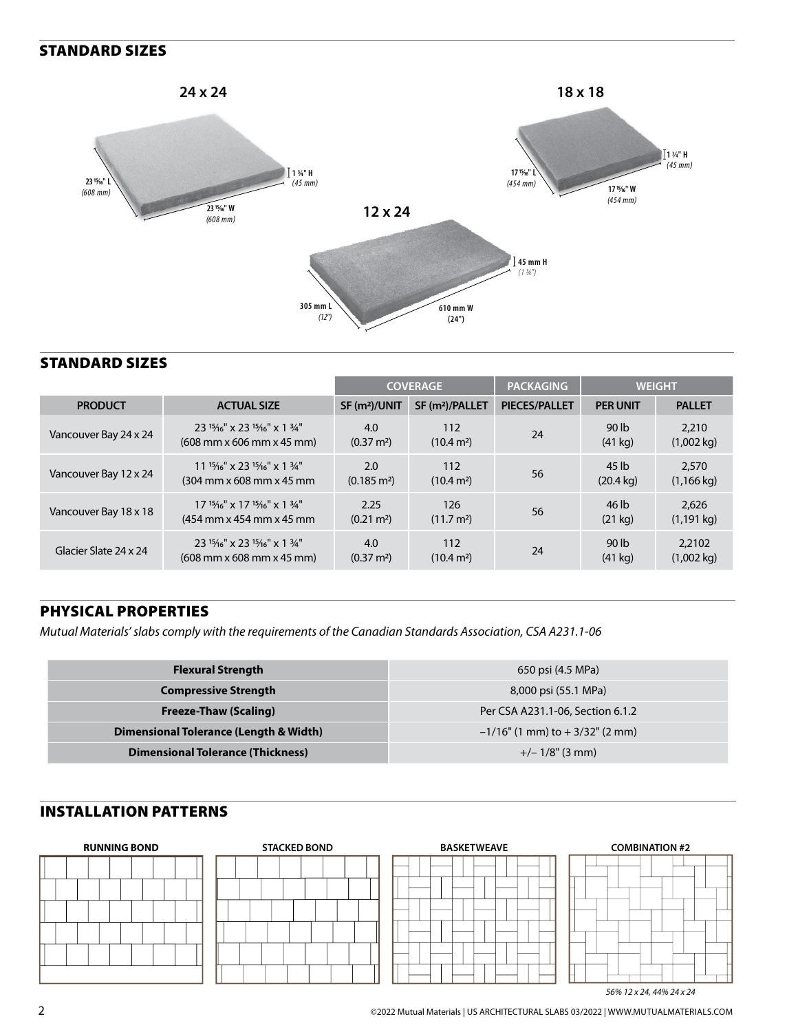#### STANDARD SIZES



#### STANDARD SIZES

|                       |                                                                                                            | <b>COVERAGE</b>              |                               | <b>PACKAGING</b>     | <b>WEIGHT</b>                         |                                |
|-----------------------|------------------------------------------------------------------------------------------------------------|------------------------------|-------------------------------|----------------------|---------------------------------------|--------------------------------|
| <b>PRODUCT</b>        | <b>ACTUAL SIZE</b>                                                                                         | SF (m <sup>2</sup> )/UNIT    | SF (m <sup>2</sup> )/PALLET   | <b>PIECES/PALLET</b> | <b>PER UNIT</b>                       | <b>PALLET</b>                  |
| Vancouver Bay 24 x 24 | 23 15/16" x 23 15/16" x 1 3/4"<br>$(608 \, \text{mm} \times 606 \, \text{mm} \times 45 \, \text{mm})$      | 4.0<br>$(0.37 \text{ m}^2)$  | 112<br>(10.4 m <sup>2</sup> ) | 24                   | 90 lb<br>$(41$ kg)                    | 2,210<br>$(1,002 \text{ kg})$  |
| Vancouver Bay 12 x 24 | $11^{15}/16$ " x 23 $15/16$ " x 1 $3/4$ "<br>$(304 \text{ mm} \times 608 \text{ mm} \times 45 \text{ mm})$ | 2.0<br>$(0.185 \text{ m}^2)$ | 112<br>(10.4 m <sup>2</sup> ) | 56                   | 45 lb<br>$(20.4 \text{ kg})$          | 2.570<br>$(1, 166 \text{ kg})$ |
| Vancouver Bay 18 x 18 | $17^{15}/16''$ x $17^{15}/16''$ x $1^{3}/4''$<br>(454 mm x 454 mm x 45 mm)                                 | 2.25<br>$(0.21 \text{ m}^2)$ | 126<br>(11.7 m <sup>2</sup> ) | 56                   | 46 lb<br>(21 kg)                      | 2.626<br>$(1, 191$ kg)         |
| Glacier Slate 24 x 24 | 23 15/16" x 23 15/16" x 1 3/4"<br>$(608 \, \text{mm} \times 608 \, \text{mm} \times 45 \, \text{mm})$      | 4.0<br>$(0.37 \text{ m}^2)$  | 112<br>$(10.4 \text{ m}^2)$   | 24                   | 90 <sub>lb</sub><br>$(41 \text{ kg})$ | 2,2102<br>$(1,002 \text{ kg})$ |

# PHYSICAL PROPERTIES

*Mutual Materials' slabs comply with the requirements of the Canadian Standards Association, CSA A231.1-06*

| <b>Flexural Strength</b>                 | 650 psi (4.5 MPa)                    |  |
|------------------------------------------|--------------------------------------|--|
| <b>Compressive Strength</b>              | 8,000 psi (55.1 MPa)                 |  |
| <b>Freeze-Thaw (Scaling)</b>             | Per CSA A231.1-06, Section 6.1.2     |  |
| Dimensional Tolerance (Length & Width)   | $-1/16$ " (1 mm) to $+3/32$ " (2 mm) |  |
| <b>Dimensional Tolerance (Thickness)</b> | $+/- 1/8$ " (3 mm)                   |  |

# INSTALLATION PATTERNS

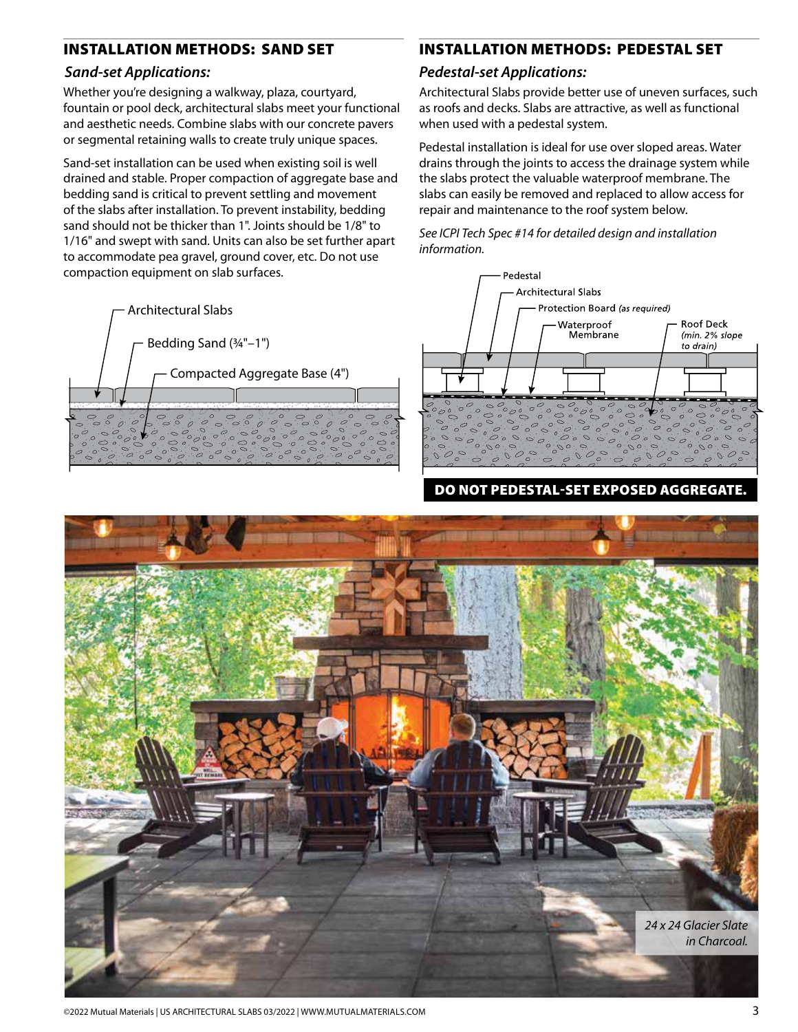#### INSTALLATION METHODS: SAND SET

#### *Sand-set Applications:*

Whether you're designing a walkway, plaza, courtyard, fountain or pool deck, architectural slabs meet your functional and aesthetic needs. Combine slabs with our concrete pavers or segmental retaining walls to create truly unique spaces.

Sand-set installation can be used when existing soil is well drained and stable. Proper compaction of aggregate base and bedding sand is critical to prevent settling and movement of the slabs after installation. To prevent instability, bedding sand should not be thicker than 1". Joints should be 1/8" to 1/16" and swept with sand. Units can also be set further apart to accommodate pea gravel, ground cover, etc. Do not use compaction equipment on slab surfaces.



# INSTALLATION METHODS: PEDESTAL SET

#### *Pedestal-set Applications:*

Architectural Slabs provide better use of uneven surfaces, such as roofs and decks. Slabs are attractive, as well as functional when used with a pedestal system.

Pedestal installation is ideal for use over sloped areas. Water drains through the joints to access the drainage system while the slabs protect the valuable waterproof membrane. The slabs can easily be removed and replaced to allow access for repair and maintenance to the roof system below.

*See ICPI Tech Spec #14 for detailed design and installation information.*



DO NOT PEDESTAL-SET EXPOSED AGGREGATE.



©2022 Mutual Materials | US ARCHITECTURAL SLABS 03/2022 | WWW.MUTUALMATERIALS.COM 3